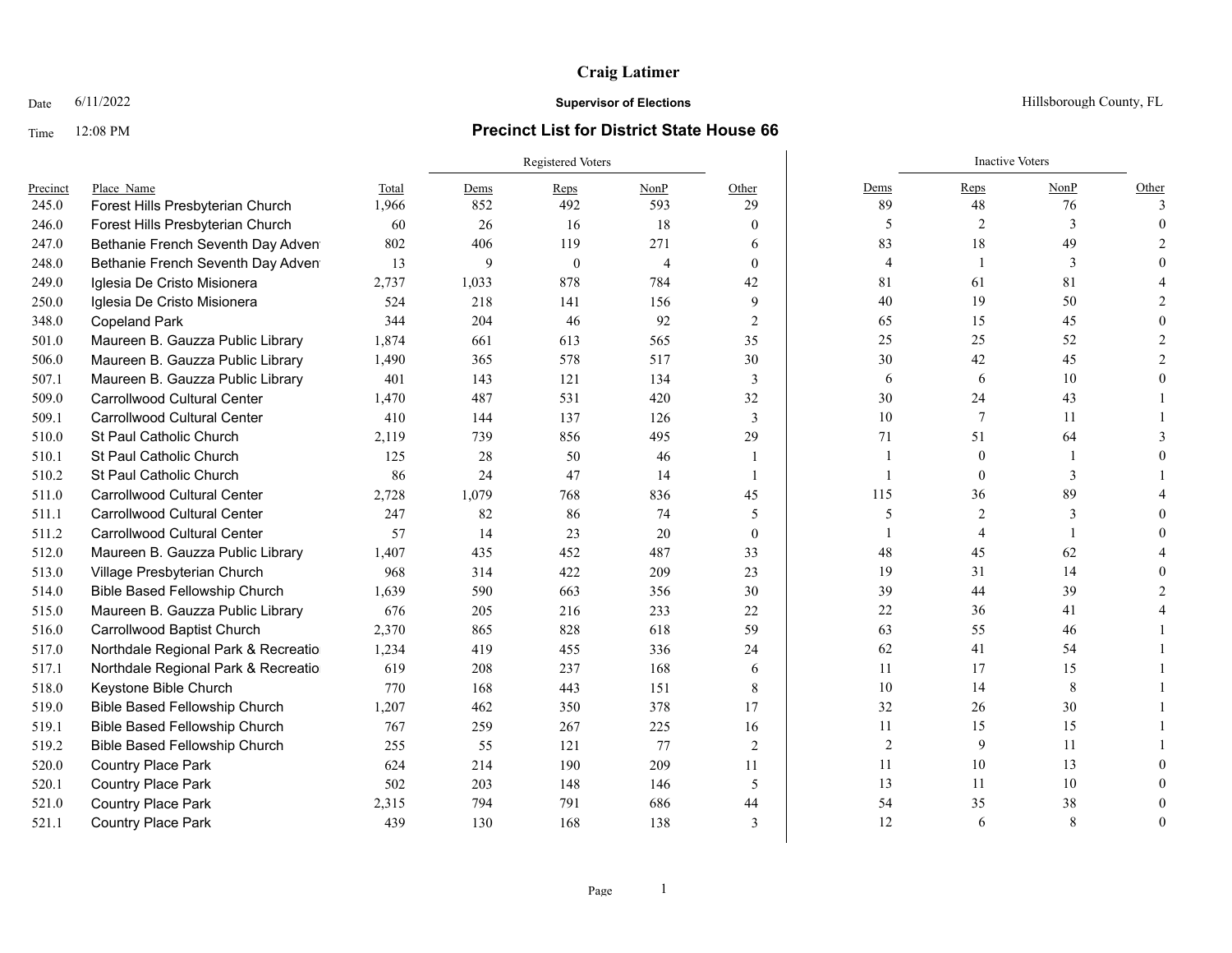## Time 12:08 PM **Precinct List for District State House 66**

|          |                                      |       | Registered Voters |              |                |                |                | <b>Inactive Voters</b> |      |              |
|----------|--------------------------------------|-------|-------------------|--------------|----------------|----------------|----------------|------------------------|------|--------------|
| Precinct | Place Name                           | Total | Dems              | Reps         | NonP           | Other          | Dems           | Reps                   | NonP | Other        |
| 245.0    | Forest Hills Presbyterian Church     | 1,966 | 852               | 492          | 593            | 29             | 89             | 48                     | 76   | $\mathbf{3}$ |
| 246.0    | Forest Hills Presbyterian Church     | 60    | 26                | 16           | 18             | $\mathbf{0}$   | 5              | 2                      | 3    |              |
| 247.0    | Bethanie French Seventh Day Adven    | 802   | 406               | 119          | 271            | 6              | 83             | 18                     | 49   |              |
| 248.0    | Bethanie French Seventh Day Adven    | 13    | 9                 | $\mathbf{0}$ | $\overline{4}$ | $\mathbf{0}$   | 4              |                        | 3    |              |
| 249.0    | Iglesia De Cristo Misionera          | 2,737 | 1,033             | 878          | 784            | 42             | 81             | 61                     | 81   |              |
| 250.0    | Iglesia De Cristo Misionera          | 524   | 218               | 141          | 156            | 9              | 40             | 19                     | 50   |              |
| 348.0    | <b>Copeland Park</b>                 | 344   | 204               | 46           | 92             | $\overline{2}$ | 65             | 15                     | 45   |              |
| 501.0    | Maureen B. Gauzza Public Library     | 1,874 | 661               | 613          | 565            | 35             | 25             | 25                     | 52   |              |
| 506.0    | Maureen B. Gauzza Public Library     | 1,490 | 365               | 578          | 517            | 30             | 30             | 42                     | 45   |              |
| 507.1    | Maureen B. Gauzza Public Library     | 401   | 143               | 121          | 134            | 3              | 6              | 6                      | 10   |              |
| 509.0    | <b>Carrollwood Cultural Center</b>   | 1,470 | 487               | 531          | 420            | 32             | 30             | 24                     | 43   |              |
| 509.1    | <b>Carrollwood Cultural Center</b>   | 410   | 144               | 137          | 126            | 3              | $10\,$         | $\tau$                 | 11   |              |
| 510.0    | St Paul Catholic Church              | 2,119 | 739               | 856          | 495            | 29             | 71             | 51                     | 64   |              |
| 510.1    | <b>St Paul Catholic Church</b>       | 125   | 28                | 50           | 46             | $\overline{1}$ | 1              | $\theta$               |      |              |
| 510.2    | St Paul Catholic Church              | 86    | 24                | 47           | 14             | $\overline{1}$ | 1              | $\theta$               | 3    |              |
| 511.0    | <b>Carrollwood Cultural Center</b>   | 2,728 | 1,079             | 768          | 836            | 45             | 115            | 36                     | 89   |              |
| 511.1    | <b>Carrollwood Cultural Center</b>   | 247   | 82                | 86           | 74             | 5              | 5              | 2                      | 3    |              |
| 511.2    | <b>Carrollwood Cultural Center</b>   | 57    | 14                | 23           | 20             | $\mathbf{0}$   |                | $\overline{4}$         |      |              |
| 512.0    | Maureen B. Gauzza Public Library     | 1,407 | 435               | 452          | 487            | 33             | 48             | 45                     | 62   |              |
| 513.0    | Village Presbyterian Church          | 968   | 314               | 422          | 209            | 23             | 19             | 31                     | 14   |              |
| 514.0    | <b>Bible Based Fellowship Church</b> | 1,639 | 590               | 663          | 356            | 30             | 39             | 44                     | 39   |              |
| 515.0    | Maureen B. Gauzza Public Library     | 676   | 205               | 216          | 233            | 22             | 22             | 36                     | 41   |              |
| 516.0    | Carrollwood Baptist Church           | 2,370 | 865               | 828          | 618            | 59             | 63             | 55                     | 46   |              |
| 517.0    | Northdale Regional Park & Recreatio  | 1,234 | 419               | 455          | 336            | 24             | 62             | 41                     | 54   |              |
| 517.1    | Northdale Regional Park & Recreatio  | 619   | 208               | 237          | 168            | 6              | 11             | 17                     | 15   |              |
| 518.0    | Keystone Bible Church                | 770   | 168               | 443          | 151            | $\,8\,$        | $10\,$         | 14                     | 8    |              |
| 519.0    | <b>Bible Based Fellowship Church</b> | 1,207 | 462               | 350          | 378            | 17             | 32             | 26                     | 30   |              |
| 519.1    | <b>Bible Based Fellowship Church</b> | 767   | 259               | 267          | 225            | 16             | 11             | 15                     | 15   |              |
| 519.2    | <b>Bible Based Fellowship Church</b> | 255   | 55                | 121          | 77             | 2              | $\overline{2}$ | 9                      | 11   |              |
| 520.0    | <b>Country Place Park</b>            | 624   | 214               | 190          | 209            | 11             | 11             | 10                     | 13   |              |
| 520.1    | <b>Country Place Park</b>            | 502   | 203               | 148          | 146            | 5              | 13             | 11                     | 10   |              |
| 521.0    | <b>Country Place Park</b>            | 2,315 | 794               | 791          | 686            | 44             | 54             | 35                     | 38   |              |
| 521.1    | Country Place Park                   | 439   | 130               | 168          | 138            | 3              | 12             | 6                      | 8    |              |

Date  $6/11/2022$  Hillsborough County, FL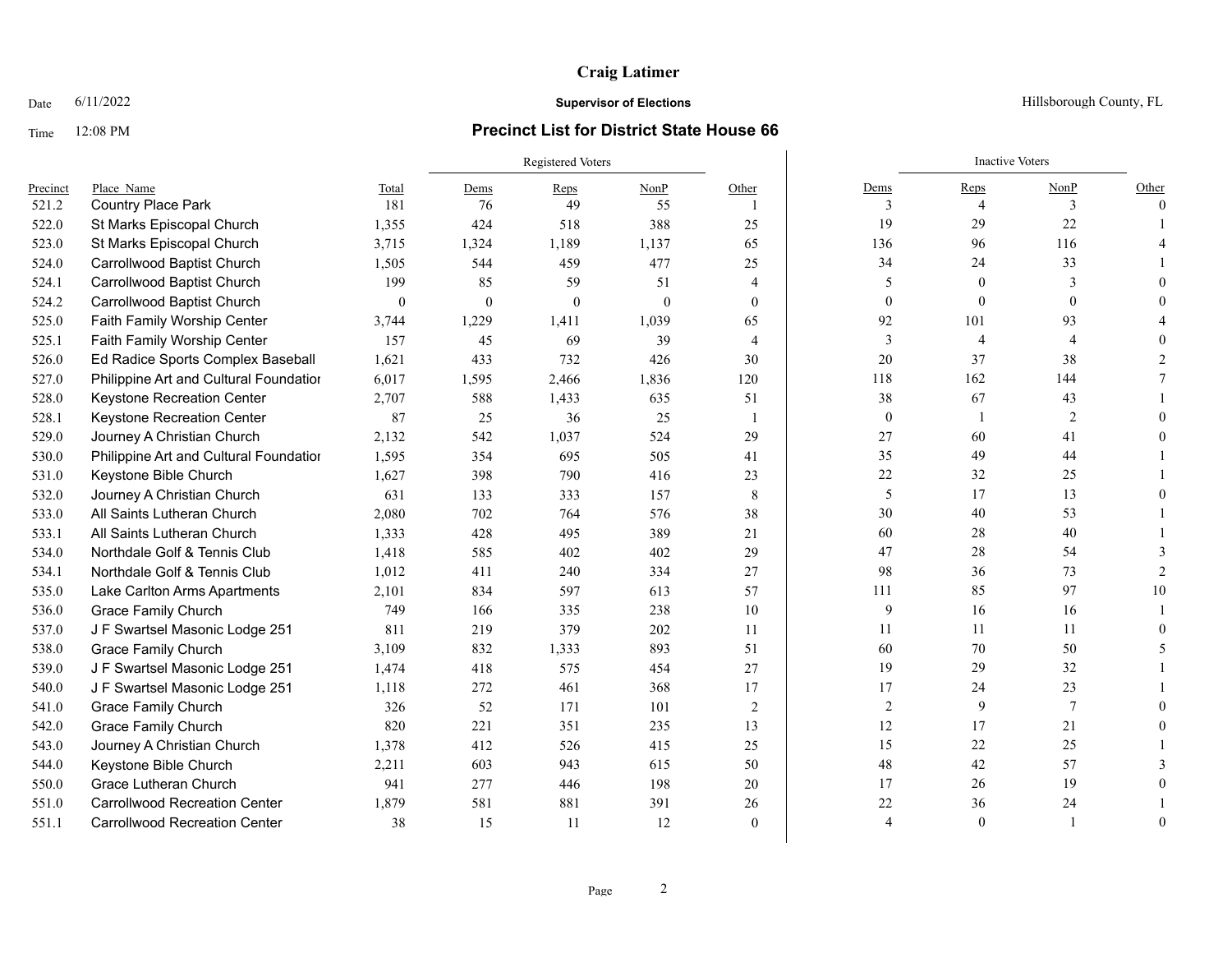### Time 12:08 PM **Precinct List for District State House 66**

### Registered Voters **Inactive Voters** Inactive Voters **Inactive Voters** Precinct Place\_Name Total Dems Reps NonP Other Dems Reps NonP Other 521.2 Country Place Park 181 76 49 55 1 3 4 3 0 522.0 St Marks Episcopal Church 1,355 424 518 388 25 19 29 22 1 523.0 St Marks Episcopal Church 3,715 1,324 1,189 1,137 65 136 96 116 4 524.0 Carrollwood Baptist Church 1,505 544 459 477 25 34 24 33 1 524.1 Carrollwood Baptist Church 199 85 59 51 4 5 0 3 0 524.2 Carrollwood Baptist Church 0 0 0 0 0 0 0 0 0 525.0 Faith Family Worship Center 3,744 1,229 1,411 1,039 65 92 101 93 4 525.1 Faith Family Worship Center 157 45 69 39 4 3 4 4 4 0 526.0 Ed Radice Sports Complex Baseball 1,621 433 732 426 30 20 37 38 2 527.0 Philippine Art and Cultural Foundation 6,017 1,595 2,466 1,836 120 118 162 144 7 528.0 Keystone Recreation Center 2,707 588 1,433 635 51 38 67 43 1 528.1 Keystone Recreation Center **87** 25 36 25 1 0 1 2 0 529.0 Journey A Christian Church 2,132 542 1,037 524 29 27 60 41 0 530.0 Philippine Art and Cultural Foundatior 1,595 354 695 505 41 35 49 44 1 531.0 Keystone Bible Church 1,627 398 790 416 23 22 32 25 1 532.0 Journey A Christian Church 631 133 333 157 8 5 17 13 0 533.0 All Saints Lutheran Church 2,080 702 764 576 38 30 40 53 1 533.1 All Saints Lutheran Church 1,333 428 495 389 21 60 28 40 1 534.0 Northdale Golf & Tennis Club 1,418 585 402 402 29 47 28 54 3 534.1 Northdale Golf & Tennis Club 1,012 411 240 334 27 98 36 73 2 535.0 Lake Carlton Arms Apartments 2,101 834 597 613 57 111 85 97 10 536.0 Grace Family Church 749 166 335 238 10 9 16 16 1 537.0 J F Swartsel Masonic Lodge 251 811 219 379 202 11 11 11 11 11 0 538.0 Grace Family Church 3,109 832 1,333 893 51 60 70 50 5 539.0 J F Swartsel Masonic Lodge 251 1,474 418 575 454 27 1 19 29 32 1 540.0 J F Swartsel Masonic Lodge 251 1,118 272 461 368 17 17 17 24 23 1 541.0 Grace Family Church 326 52 171 101 2 2 9 7 0 542.0 Grace Family Church 820 221 351 235 13 12 17 21 0 543.0 Journey A Christian Church 1,378 412 526 415 25 15 22 25 1 544.0 Keystone Bible Church 2,211 603 943 615 50 48 42 57 3 550.0 Grace Lutheran Church 941 277 446 198 20 17 26 19 0 551.0 Carrollwood Recreation Center 1,879 581 881 391 26 22 36 24 1 551.1 Carrollwood Recreation Center 38 15 11 12 0 4 0 1 0

### **Date** 6/11/2022 **Supervisor of Elections Supervisor of Elections** Hillsborough County, FL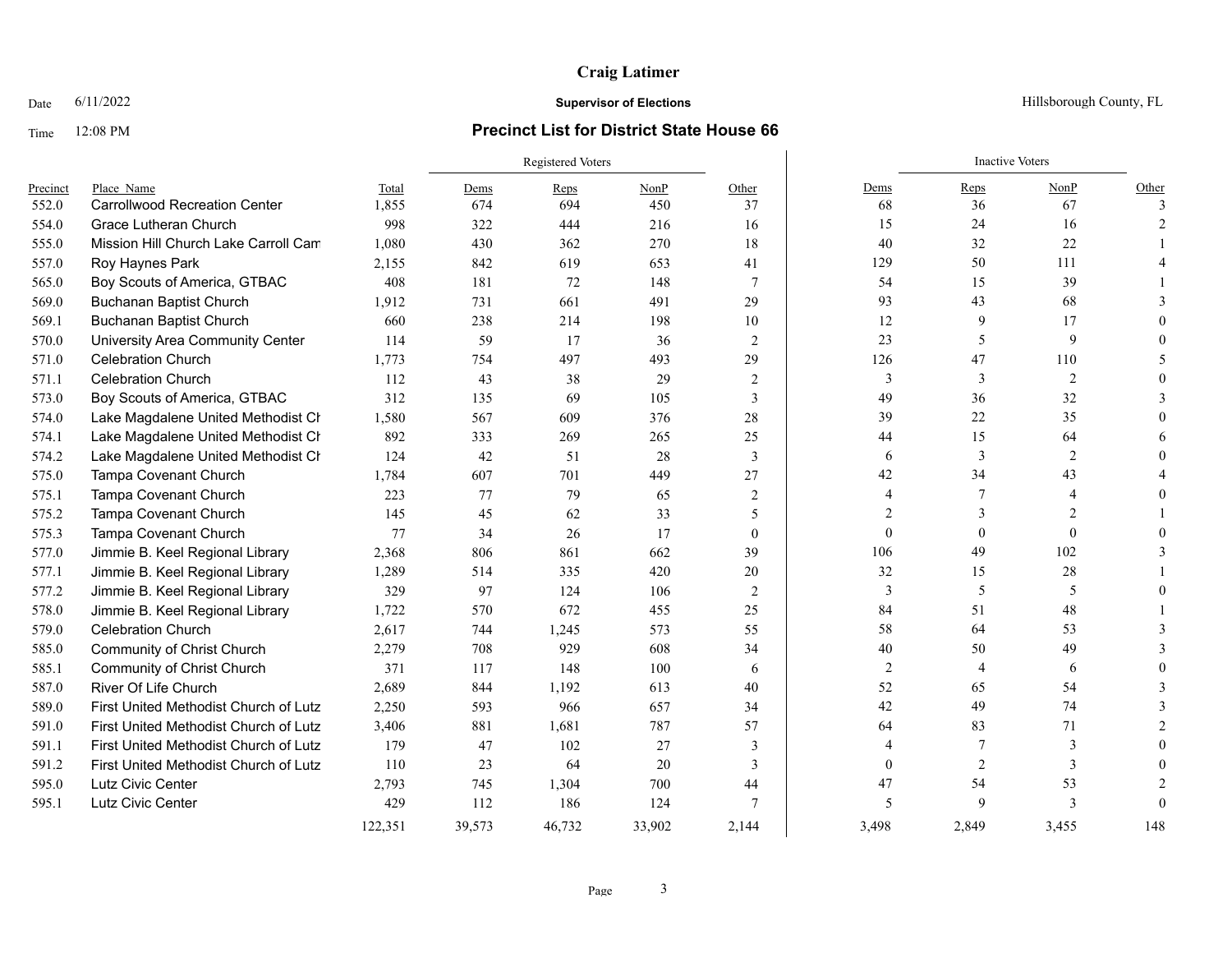## Time 12:08 PM **Precinct List for District State House 66**

|          |                                       |         | Registered Voters |        |        |                |                | <b>Inactive Voters</b> |                |          |
|----------|---------------------------------------|---------|-------------------|--------|--------|----------------|----------------|------------------------|----------------|----------|
| Precinct | Place Name                            | Total   | Dems              | Reps   | NonP   | Other          | Dems           | Reps                   | NonP           | Other    |
| 552.0    | <b>Carrollwood Recreation Center</b>  | 1,855   | 674               | 694    | 450    | 37             | 68             | 36                     | 67             |          |
| 554.0    | Grace Lutheran Church                 | 998     | 322               | 444    | 216    | 16             | 15             | 24                     | 16             |          |
| 555.0    | Mission Hill Church Lake Carroll Cam  | 1,080   | 430               | 362    | 270    | 18             | 40             | 32                     | 22             |          |
| 557.0    | Roy Haynes Park                       | 2,155   | 842               | 619    | 653    | 41             | 129            | 50                     | 111            |          |
| 565.0    | Boy Scouts of America, GTBAC          | 408     | 181               | 72     | 148    | 7              | 54             | 15                     | 39             |          |
| 569.0    | <b>Buchanan Baptist Church</b>        | 1,912   | 731               | 661    | 491    | 29             | 93             | 43                     | 68             |          |
| 569.1    | <b>Buchanan Baptist Church</b>        | 660     | 238               | 214    | 198    | 10             | 12             | 9                      | 17             |          |
| 570.0    | University Area Community Center      | 114     | 59                | 17     | 36     | 2              | 23             | 5                      | 9              |          |
| 571.0    | <b>Celebration Church</b>             | 1,773   | 754               | 497    | 493    | 29             | 126            | 47                     | 110            |          |
| 571.1    | <b>Celebration Church</b>             | 112     | 43                | 38     | 29     | 2              | 3              | 3                      | $\overline{2}$ |          |
| 573.0    | Boy Scouts of America, GTBAC          | 312     | 135               | 69     | 105    | 3              | 49             | 36                     | 32             |          |
| 574.0    | Lake Magdalene United Methodist Cr    | 1,580   | 567               | 609    | 376    | 28             | 39             | 22                     | 35             |          |
| 574.1    | Lake Magdalene United Methodist Cr    | 892     | 333               | 269    | 265    | 25             | 44             | 15                     | 64             |          |
| 574.2    | Lake Magdalene United Methodist Cr    | 124     | 42                | 51     | 28     | 3              | 6              | 3                      | 2              |          |
| 575.0    | Tampa Covenant Church                 | 1.784   | 607               | 701    | 449    | 27             | 42             | 34                     | 43             |          |
| 575.1    | Tampa Covenant Church                 | 223     | 77                | 79     | 65     | 2              | $\overline{4}$ | 7                      | $\Delta$       |          |
| 575.2    | Tampa Covenant Church                 | 145     | 45                | 62     | 33     | 5              | $\overline{c}$ | $\mathbf{3}$           | $\overline{2}$ |          |
| 575.3    | Tampa Covenant Church                 | 77      | 34                | 26     | 17     | $\mathbf{0}$   | $\mathbf{0}$   | $\mathbf{0}$           | $\theta$       |          |
| 577.0    | Jimmie B. Keel Regional Library       | 2,368   | 806               | 861    | 662    | 39             | 106            | 49                     | 102            |          |
| 577.1    | Jimmie B. Keel Regional Library       | 1,289   | 514               | 335    | 420    | 20             | 32             | 15                     | 28             |          |
| 577.2    | Jimmie B. Keel Regional Library       | 329     | 97                | 124    | 106    | $\overline{2}$ | 3              | 5                      | 5              |          |
| 578.0    | Jimmie B. Keel Regional Library       | 1,722   | 570               | 672    | 455    | 25             | 84             | 51                     | 48             |          |
| 579.0    | <b>Celebration Church</b>             | 2,617   | 744               | 1,245  | 573    | 55             | 58             | 64                     | 53             |          |
| 585.0    | <b>Community of Christ Church</b>     | 2,279   | 708               | 929    | 608    | 34             | 40             | 50                     | 49             |          |
| 585.1    | <b>Community of Christ Church</b>     | 371     | 117               | 148    | 100    | 6              | $\overline{2}$ | $\overline{4}$         | 6              |          |
| 587.0    | River Of Life Church                  | 2,689   | 844               | 1,192  | 613    | 40             | 52             | 65                     | 54             |          |
| 589.0    | First United Methodist Church of Lutz | 2,250   | 593               | 966    | 657    | 34             | 42             | 49                     | 74             |          |
| 591.0    | First United Methodist Church of Lutz | 3,406   | 881               | 1,681  | 787    | 57             | 64             | 83                     | 71             |          |
| 591.1    | First United Methodist Church of Lutz | 179     | 47                | 102    | 27     | 3              | 4              | 7                      | 3              |          |
| 591.2    | First United Methodist Church of Lutz | 110     | 23                | 64     | 20     | 3              | $\theta$       | 2                      | 3              |          |
| 595.0    | Lutz Civic Center                     | 2,793   | 745               | 1,304  | 700    | 44             | 47             | 54                     | 53             |          |
| 595.1    | Lutz Civic Center                     | 429     | 112               | 186    | 124    | 7              | 5              | $\mathbf Q$            | $\mathcal{E}$  | $\Omega$ |
|          |                                       | 122,351 | 39,573            | 46,732 | 33,902 | 2,144          | 3,498          | 2,849                  | 3.455          | 148      |

Date  $6/11/2022$  Hillsborough County, FL